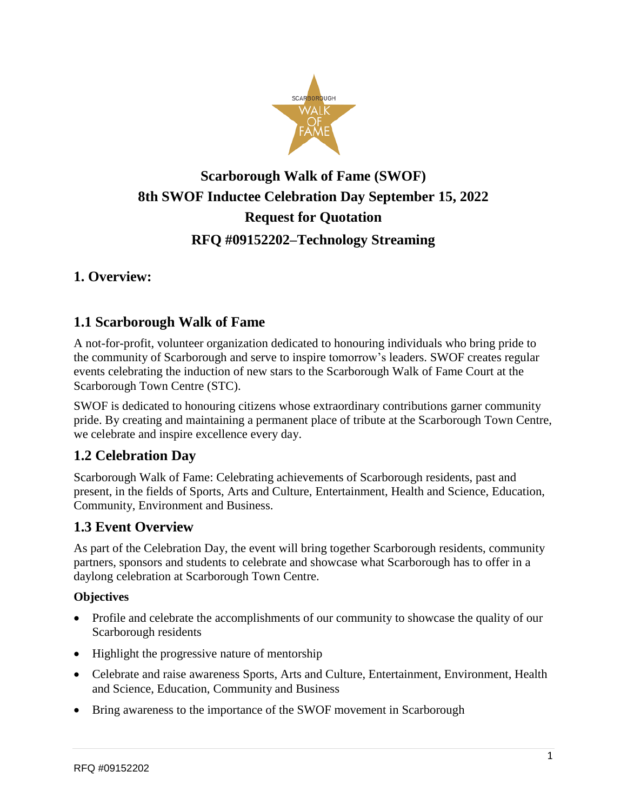

# **Scarborough Walk of Fame (SWOF) 8th SWOF Inductee Celebration Day September 15, 2022 Request for Quotation RFQ #09152202–Technology Streaming**

## **1. Overview:**

## **1.1 Scarborough Walk of Fame**

A not-for-profit, volunteer organization dedicated to honouring individuals who bring pride to the community of Scarborough and serve to inspire tomorrow's leaders. SWOF creates regular events celebrating the induction of new stars to the Scarborough Walk of Fame Court at the Scarborough Town Centre (STC).

SWOF is dedicated to honouring citizens whose extraordinary contributions garner community pride. By creating and maintaining a permanent place of tribute at the Scarborough Town Centre, we celebrate and inspire excellence every day.

## **1.2 Celebration Day**

Scarborough Walk of Fame: Celebrating achievements of Scarborough residents, past and present, in the fields of Sports, Arts and Culture, Entertainment, Health and Science, Education, Community, Environment and Business.

#### **1.3 Event Overview**

As part of the Celebration Day, the event will bring together Scarborough residents, community partners, sponsors and students to celebrate and showcase what Scarborough has to offer in a daylong celebration at Scarborough Town Centre.

#### **Objectives**

- Profile and celebrate the accomplishments of our community to showcase the quality of our Scarborough residents
- Highlight the progressive nature of mentorship
- Celebrate and raise awareness Sports, Arts and Culture, Entertainment, Environment, Health and Science, Education, Community and Business
- Bring awareness to the importance of the SWOF movement in Scarborough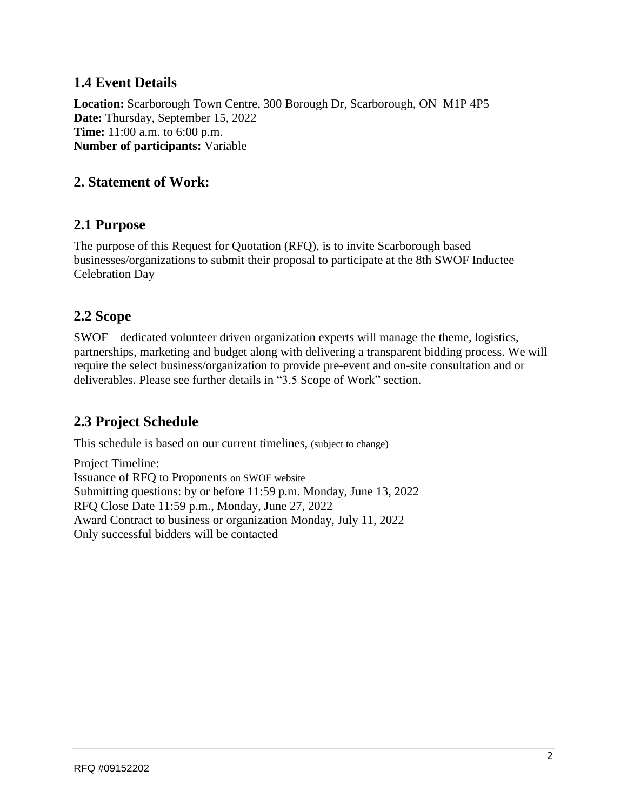## **1.4 Event Details**

**Location:** Scarborough Town Centre, 300 Borough Dr, Scarborough, ON M1P 4P5 **Date:** Thursday, September 15, 2022 **Time:** 11:00 a.m. to 6:00 p.m. **Number of participants:** Variable

### **2. Statement of Work:**

#### **2.1 Purpose**

The purpose of this Request for Quotation (RFQ), is to invite Scarborough based businesses/organizations to submit their proposal to participate at the 8th SWOF Inductee Celebration Day

### **2.2 Scope**

SWOF – dedicated volunteer driven organization experts will manage the theme, logistics, partnerships, marketing and budget along with delivering a transparent bidding process. We will require the select business/organization to provide pre-event and on-site consultation and or deliverables. Please see further details in "3.5 Scope of Work" section.

## **2.3 Project Schedule**

This schedule is based on our current timelines, (subject to change)

Project Timeline: Issuance of RFQ to Proponents on SWOF website Submitting questions: by or before 11:59 p.m. Monday, June 13, 2022 RFQ Close Date 11:59 p.m., Monday, June 27, 2022 Award Contract to business or organization Monday, July 11, 2022 Only successful bidders will be contacted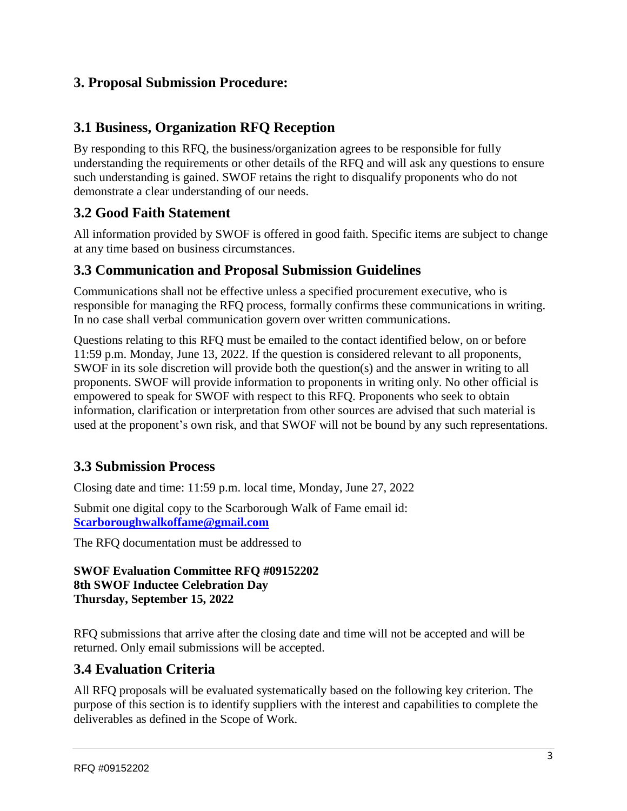## **3. Proposal Submission Procedure:**

## **3.1 Business, Organization RFQ Reception**

By responding to this RFQ, the business/organization agrees to be responsible for fully understanding the requirements or other details of the RFQ and will ask any questions to ensure such understanding is gained. SWOF retains the right to disqualify proponents who do not demonstrate a clear understanding of our needs.

## **3.2 Good Faith Statement**

All information provided by SWOF is offered in good faith. Specific items are subject to change at any time based on business circumstances.

#### **3.3 Communication and Proposal Submission Guidelines**

Communications shall not be effective unless a specified procurement executive, who is responsible for managing the RFQ process, formally confirms these communications in writing. In no case shall verbal communication govern over written communications.

Questions relating to this RFQ must be emailed to the contact identified below, on or before 11:59 p.m. Monday, June 13, 2022. If the question is considered relevant to all proponents, SWOF in its sole discretion will provide both the question(s) and the answer in writing to all proponents. SWOF will provide information to proponents in writing only. No other official is empowered to speak for SWOF with respect to this RFQ. Proponents who seek to obtain information, clarification or interpretation from other sources are advised that such material is used at the proponent's own risk, and that SWOF will not be bound by any such representations.

## **3.3 Submission Process**

Closing date and time: 11:59 p.m. local time, Monday, June 27, 2022

Submit one digital copy to the Scarborough Walk of Fame email id: **[Scarboroughwalkoffame@gmail.com](mailto:Scarboroughwalkoffame@gmail.com)**

The RFQ documentation must be addressed to

#### **SWOF Evaluation Committee RFQ #09152202 8th SWOF Inductee Celebration Day Thursday, September 15, 2022**

RFQ submissions that arrive after the closing date and time will not be accepted and will be returned. Only email submissions will be accepted.

## **3.4 Evaluation Criteria**

All RFQ proposals will be evaluated systematically based on the following key criterion. The purpose of this section is to identify suppliers with the interest and capabilities to complete the deliverables as defined in the Scope of Work.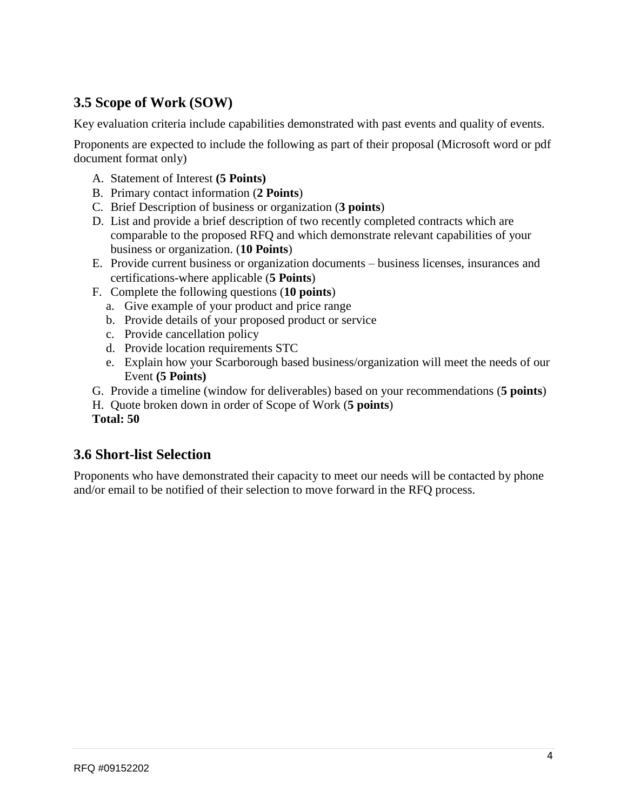## **3.5 Scope of Work (SOW)**

Key evaluation criteria include capabilities demonstrated with past events and quality of events.

Proponents are expected to include the following as part of their proposal (Microsoft word or pdf document format only)

- A. Statement of Interest **(5 Points)**
- B. Primary contact information (**2 Points**)
- C. Brief Description of business or organization (**3 points**)
- D. List and provide a brief description of two recently completed contracts which are comparable to the proposed RFQ and which demonstrate relevant capabilities of your business or organization. (**10 Points**)
- E. Provide current business or organization documents business licenses, insurances and certifications-where applicable (**5 Points**)
- F. Complete the following questions (**10 points**)
	- a. Give example of your product and price range
	- b. Provide details of your proposed product or service
	- c. Provide cancellation policy
	- d. Provide location requirements STC
	- e. Explain how your Scarborough based business/organization will meet the needs of our Event **(5 Points)**
- G. Provide a timeline (window for deliverables) based on your recommendations (**5 points**)

H. Quote broken down in order of Scope of Work (**5 points**) **Total: 50**

## **3.6 Short-list Selection**

Proponents who have demonstrated their capacity to meet our needs will be contacted by phone and/or email to be notified of their selection to move forward in the RFQ process.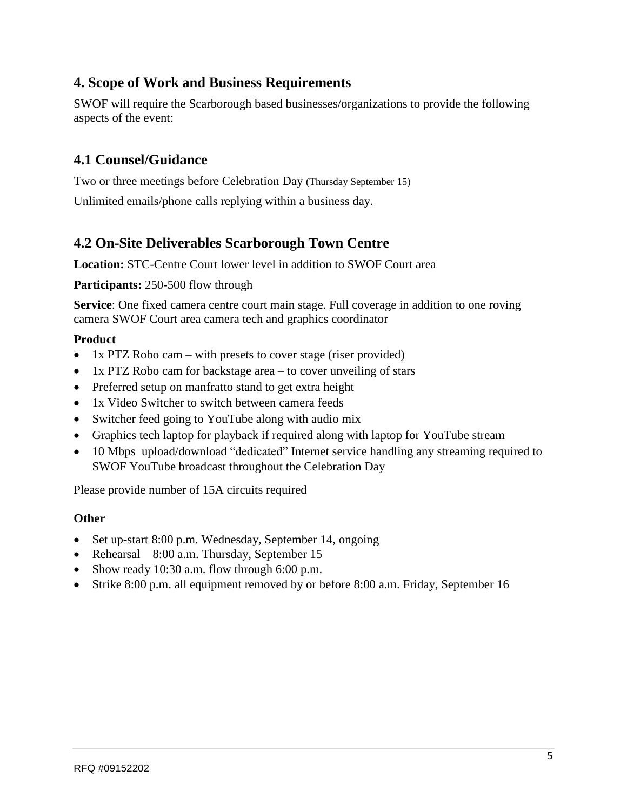## **4. Scope of Work and Business Requirements**

SWOF will require the Scarborough based businesses/organizations to provide the following aspects of the event:

## **4.1 Counsel/Guidance**

Two or three meetings before Celebration Day (Thursday September 15) Unlimited emails/phone calls replying within a business day.

## **4.2 On-Site Deliverables Scarborough Town Centre**

**Location:** STC-Centre Court lower level in addition to SWOF Court area

**Participants:** 250-500 flow through

**Service**: One fixed camera centre court main stage. Full coverage in addition to one roving camera SWOF Court area camera tech and graphics coordinator

#### **Product**

- 1x PTZ Robo cam with presets to cover stage (riser provided)
- 1x PTZ Robo cam for backstage area to cover unveiling of stars
- Preferred setup on manfratto stand to get extra height
- 1x Video Switcher to switch between camera feeds
- Switcher feed going to YouTube along with audio mix
- Graphics tech laptop for playback if required along with laptop for YouTube stream
- 10 Mbps upload/download "dedicated" Internet service handling any streaming required to SWOF YouTube broadcast throughout the Celebration Day

Please provide number of 15A circuits required

#### **Other**

- Set up-start 8:00 p.m. Wednesday, September 14, ongoing
- Rehearsal 8:00 a.m. Thursday, September 15
- Show ready 10:30 a.m. flow through 6:00 p.m.
- Strike 8:00 p.m. all equipment removed by or before 8:00 a.m. Friday, September 16